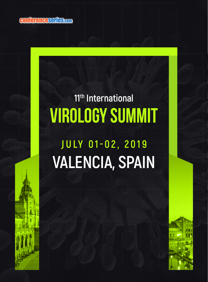conferenceseries.com

## VIROLOGY SUMMIT **11th International**

## **VALENCIA, SPAIN JULY 01-02, 2019**

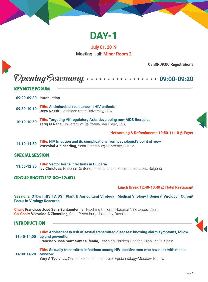

**July 01, 2019** Meeting Hall: **Minor Room 2**

**08:30-09:00 Registrations**

|                        | <b>KEYNOTE FORUM</b>                                                                                                                                                                             |
|------------------------|--------------------------------------------------------------------------------------------------------------------------------------------------------------------------------------------------|
|                        | 09:20-09:30 Introduction                                                                                                                                                                         |
| 09:30-10:10            | <b>Title: Antimicrobial resistance in HIV patients</b><br>Reza Nassiri, Michigan State University, USA                                                                                           |
| 10:10-10:50            | Title: Targeting Vif regulatory Axis: developing new AIDS therapies<br>Tariq M Rana, University of California San Diego, USA                                                                     |
|                        | Networking & Refreshments 10:50-11:10 @ Foyer                                                                                                                                                    |
| $11:10-11:50$          | Title: HIV Infection and its complications from pathologist's point of view<br>Vsevolod A Zinserling, Saint-Petersburg University, Russia                                                        |
| <b>SDECIAL SESSION</b> |                                                                                                                                                                                                  |
| 11:50-12:30            | <b>Title: Vector borne infections in Bulgaria</b><br>Iva Christova, National Center of Infectious and Parasitic Diseases, Bulgaria                                                               |
|                        | <b>GROUP PHOTO (12:30-12:40)</b>                                                                                                                                                                 |
|                        | Lunch Break 12:40-13:40 @ Hotel Restaurant                                                                                                                                                       |
|                        | Sessions: STD's   HIV   AIDS   Plant & Agricultural Virology   Medical Virology   General Virology   Current<br><b>Focus in Virology Research</b>                                                |
|                        | Chair: Francisco José Sanz Santaeufemia, Teaching Children Hospital Niño Jesús, Spain<br>Co-Chair: Vsevolod A Zinserling, Saint-Petersburg University, Russia                                    |
|                        |                                                                                                                                                                                                  |
| <b>INTRODUCTION</b>    |                                                                                                                                                                                                  |
| 13:40-14:00            | Title: Adolescent in risk of sexual transmitted diseases: knowing alarm symptoms, follow-<br>up and prevention<br>Francisco José Sanz Santaeufemia, Teaching Children Hospital Niño Jesús, Spain |